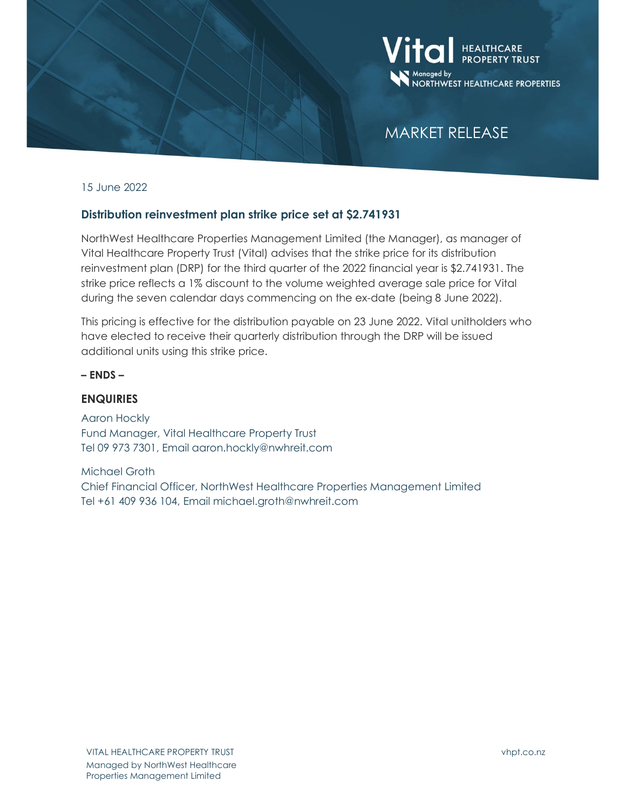

## MARKET RELEASE

15 June 2022

## Distribution reinvestment plan strike price set at \$2.741931

NorthWest Healthcare Properties Management Limited (the Manager), as manager of Vital Healthcare Property Trust (Vital) advises that the strike price for its distribution reinvestment plan (DRP) for the third quarter of the 2022 financial year is \$2.741931. The strike price reflects a 1% discount to the volume weighted average sale price for Vital during the seven calendar days commencing on the ex-date (being 8 June 2022).

This pricing is effective for the distribution payable on 23 June 2022. Vital unitholders who have elected to receive their quarterly distribution through the DRP will be issued additional units using this strike price.

– ENDS –

## **ENQUIRIES**

Aaron Hockly Fund Manager, Vital Healthcare Property Trust Tel 09 973 7301, Email aaron.hockly@nwhreit.com

Michael Groth Chief Financial Officer, NorthWest Healthcare Properties Management Limited Tel +61 409 936 104, Email michael.groth@nwhreit.com